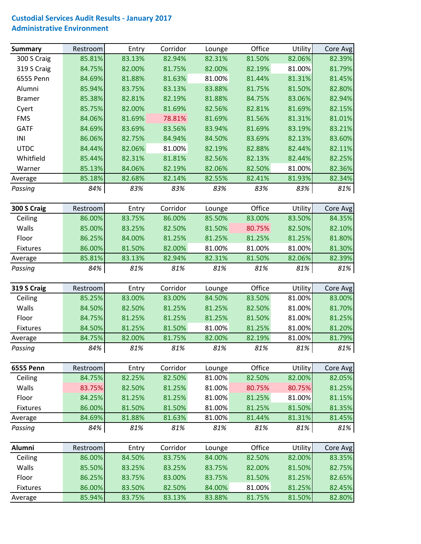## **Custodial Services Audit Results ‐ January 2017 Administrative Environment**

| 85.81%<br>82.06%<br>300 S Craig<br>83.13%<br>82.94%<br>82.31%<br>81.50%<br>82.39%<br>319 S Craig<br>84.75%<br>82.00%<br>81.75%<br>82.00%<br>82.19%<br>81.00%<br>81.79%<br>81.31%<br>6555 Penn<br>84.69%<br>81.63%<br>81.00%<br>81.88%<br>81.44%<br>81.45%<br>85.94%<br>Alumni<br>83.75%<br>83.13%<br>83.88%<br>81.75%<br>81.50%<br>82.80%<br>85.38%<br>82.19%<br>81.88%<br>83.06%<br>82.94%<br><b>Bramer</b><br>82.81%<br>84.75%<br>85.75%<br>82.00%<br>81.69%<br>82.56%<br>82.81%<br>81.69%<br>82.15%<br>Cyert<br>81.31%<br>81.01%<br><b>FMS</b><br>84.06%<br>81.69%<br>78.81%<br>81.69%<br>81.56%<br><b>GATF</b><br>84.69%<br>83.69%<br>83.56%<br>83.94%<br>83.19%<br>83.21%<br>81.69%<br>INI<br>86.06%<br>84.94%<br>83.69%<br>82.13%<br>83.60%<br>82.75%<br>84.50%<br><b>UTDC</b><br>84.44%<br>82.06%<br>81.00%<br>82.44%<br>82.11%<br>82.19%<br>82.88%<br>Whitfield<br>85.44%<br>82.44%<br>82.31%<br>81.81%<br>82.56%<br>82.13%<br>82.25%<br>85.13%<br>81.00%<br>84.06%<br>82.19%<br>82.06%<br>82.50%<br>82.36%<br>Warner<br>85.18%<br>81.93%<br>82.34%<br>82.68%<br>82.14%<br>82.55%<br>82.41%<br>Average<br>84%<br>83%<br>83%<br>83%<br>83%<br>83%<br>81%<br>Passing<br>Corridor<br>Office<br>300 S Craig<br>Utility<br>Restroom<br>Entry<br>Core Avg<br>Lounge<br>83.75%<br>85.50%<br>83.50%<br>Ceiling<br>86.00%<br>86.00%<br>83.00%<br>Walls<br>85.00%<br>83.25%<br>82.50%<br>81.50%<br>80.75%<br>82.50%<br>82.10%<br>Floor<br>86.25%<br>84.00%<br>81.25%<br>81.25%<br>81.25%<br>81.25%<br>81.80%<br>86.00%<br>81.50%<br>82.00%<br>81.00%<br>81.30%<br>Fixtures<br>81.00%<br>81.00%<br>85.81%<br>83.13%<br>82.94%<br>82.31%<br>81.50%<br>82.06%<br>82.39%<br>Average<br>84%<br>81%<br>81%<br>81%<br>81%<br>81%<br>81%<br>Passing<br>Office<br>319 S Craig<br>Corridor<br>Utility<br>Entry<br>Restroom<br>Lounge<br>Core Avg<br>81.00%<br>Ceiling<br>85.25%<br>83.00%<br>83.00%<br>84.50%<br>83.50%<br>83.00%<br>Walls<br>84.50%<br>81.25%<br>81.25%<br>82.50%<br>81.00%<br>81.70%<br>82.50%<br>Floor<br>84.75%<br>81.25%<br>81.25%<br>81.25%<br>81.50%<br>81.00%<br>81.25%<br>84.50%<br>81.25%<br>81.50%<br>81.00%<br>81.25%<br>81.00%<br>81.20%<br>Fixtures<br>84.75%<br>82.00%<br>81.75%<br>82.00%<br>82.19%<br>81.00%<br>81.79%<br>Average<br>84%<br>81%<br>81%<br>81%<br>81%<br>81%<br>81%<br>Passing<br>Office<br>Corridor<br>Utility<br><b>6555 Penn</b><br>Restroom<br>Entry<br>Core Avg<br>Lounge<br>84.75%<br>82.25%<br>82.50%<br>81.00%<br>82.50%<br>82.00%<br>82.05%<br>Ceiling<br>Walls<br>83.75%<br>81.00%<br>80.75%<br>81.25%<br>82.50%<br>81.25%<br>80.75%<br>Floor<br>84.25%<br>81.25%<br>81.00%<br>81.25%<br>81.00%<br>81.15%<br>81.25%<br>86.00%<br>81.00%<br>81.50%<br><b>Fixtures</b><br>81.50%<br>81.50%<br>81.25%<br>81.35%<br>84.69%<br>81.88%<br>81.63%<br>81.00%<br>81.44%<br>81.31%<br>81.45%<br>Average<br>84%<br>81%<br>81%<br>81%<br>81%<br>81%<br>81%<br>Passing<br>Office<br>Alumni<br>Restroom<br>Corridor<br>Utility<br>Entry<br>Lounge<br>Core Avg<br>Ceiling<br>86.00%<br>84.50%<br>84.00%<br>82.50%<br>82.00%<br>83.35%<br>83.75%<br>Walls<br>85.50%<br>83.25%<br>83.75%<br>82.00%<br>81.50%<br>82.75%<br>83.25%<br>Floor<br>86.25%<br>83.75%<br>83.00%<br>83.75%<br>81.50%<br>81.25%<br>82.65%<br>86.00%<br>81.00%<br>81.25%<br>Fixtures<br>83.50%<br>82.50%<br>84.00%<br>82.45%<br>82.80%<br>85.94%<br>83.75%<br>83.88%<br>81.75%<br>81.50%<br>83.13%<br>Average | <b>Summary</b> | Restroom | Entry | Corridor | Lounge | Office | Utility | Core Avg |
|-----------------------------------------------------------------------------------------------------------------------------------------------------------------------------------------------------------------------------------------------------------------------------------------------------------------------------------------------------------------------------------------------------------------------------------------------------------------------------------------------------------------------------------------------------------------------------------------------------------------------------------------------------------------------------------------------------------------------------------------------------------------------------------------------------------------------------------------------------------------------------------------------------------------------------------------------------------------------------------------------------------------------------------------------------------------------------------------------------------------------------------------------------------------------------------------------------------------------------------------------------------------------------------------------------------------------------------------------------------------------------------------------------------------------------------------------------------------------------------------------------------------------------------------------------------------------------------------------------------------------------------------------------------------------------------------------------------------------------------------------------------------------------------------------------------------------------------------------------------------------------------------------------------------------------------------------------------------------------------------------------------------------------------------------------------------------------------------------------------------------------------------------------------------------------------------------------------------------------------------------------------------------------------------------------------------------------------------------------------------------------------------------------------------------------------------------------------------------------------------------------------------------------------------------------------------------------------------------------------------------------------------------------------------------------------------------------------------------------------------------------------------------------------------------------------------------------------------------------------------------------------------------------------------------------------------------------------------------------------------------------------------------------------------------------------------------------------------------------------------------------------------------------------------------------------------------------------------------------------------------------------------------------------------------------------------------------------------------------------------------------------------------------------------|----------------|----------|-------|----------|--------|--------|---------|----------|
|                                                                                                                                                                                                                                                                                                                                                                                                                                                                                                                                                                                                                                                                                                                                                                                                                                                                                                                                                                                                                                                                                                                                                                                                                                                                                                                                                                                                                                                                                                                                                                                                                                                                                                                                                                                                                                                                                                                                                                                                                                                                                                                                                                                                                                                                                                                                                                                                                                                                                                                                                                                                                                                                                                                                                                                                                                                                                                                                                                                                                                                                                                                                                                                                                                                                                                                                                                                                                 |                |          |       |          |        |        |         |          |
|                                                                                                                                                                                                                                                                                                                                                                                                                                                                                                                                                                                                                                                                                                                                                                                                                                                                                                                                                                                                                                                                                                                                                                                                                                                                                                                                                                                                                                                                                                                                                                                                                                                                                                                                                                                                                                                                                                                                                                                                                                                                                                                                                                                                                                                                                                                                                                                                                                                                                                                                                                                                                                                                                                                                                                                                                                                                                                                                                                                                                                                                                                                                                                                                                                                                                                                                                                                                                 |                |          |       |          |        |        |         |          |
|                                                                                                                                                                                                                                                                                                                                                                                                                                                                                                                                                                                                                                                                                                                                                                                                                                                                                                                                                                                                                                                                                                                                                                                                                                                                                                                                                                                                                                                                                                                                                                                                                                                                                                                                                                                                                                                                                                                                                                                                                                                                                                                                                                                                                                                                                                                                                                                                                                                                                                                                                                                                                                                                                                                                                                                                                                                                                                                                                                                                                                                                                                                                                                                                                                                                                                                                                                                                                 |                |          |       |          |        |        |         |          |
|                                                                                                                                                                                                                                                                                                                                                                                                                                                                                                                                                                                                                                                                                                                                                                                                                                                                                                                                                                                                                                                                                                                                                                                                                                                                                                                                                                                                                                                                                                                                                                                                                                                                                                                                                                                                                                                                                                                                                                                                                                                                                                                                                                                                                                                                                                                                                                                                                                                                                                                                                                                                                                                                                                                                                                                                                                                                                                                                                                                                                                                                                                                                                                                                                                                                                                                                                                                                                 |                |          |       |          |        |        |         |          |
|                                                                                                                                                                                                                                                                                                                                                                                                                                                                                                                                                                                                                                                                                                                                                                                                                                                                                                                                                                                                                                                                                                                                                                                                                                                                                                                                                                                                                                                                                                                                                                                                                                                                                                                                                                                                                                                                                                                                                                                                                                                                                                                                                                                                                                                                                                                                                                                                                                                                                                                                                                                                                                                                                                                                                                                                                                                                                                                                                                                                                                                                                                                                                                                                                                                                                                                                                                                                                 |                |          |       |          |        |        |         |          |
|                                                                                                                                                                                                                                                                                                                                                                                                                                                                                                                                                                                                                                                                                                                                                                                                                                                                                                                                                                                                                                                                                                                                                                                                                                                                                                                                                                                                                                                                                                                                                                                                                                                                                                                                                                                                                                                                                                                                                                                                                                                                                                                                                                                                                                                                                                                                                                                                                                                                                                                                                                                                                                                                                                                                                                                                                                                                                                                                                                                                                                                                                                                                                                                                                                                                                                                                                                                                                 |                |          |       |          |        |        |         |          |
|                                                                                                                                                                                                                                                                                                                                                                                                                                                                                                                                                                                                                                                                                                                                                                                                                                                                                                                                                                                                                                                                                                                                                                                                                                                                                                                                                                                                                                                                                                                                                                                                                                                                                                                                                                                                                                                                                                                                                                                                                                                                                                                                                                                                                                                                                                                                                                                                                                                                                                                                                                                                                                                                                                                                                                                                                                                                                                                                                                                                                                                                                                                                                                                                                                                                                                                                                                                                                 |                |          |       |          |        |        |         |          |
|                                                                                                                                                                                                                                                                                                                                                                                                                                                                                                                                                                                                                                                                                                                                                                                                                                                                                                                                                                                                                                                                                                                                                                                                                                                                                                                                                                                                                                                                                                                                                                                                                                                                                                                                                                                                                                                                                                                                                                                                                                                                                                                                                                                                                                                                                                                                                                                                                                                                                                                                                                                                                                                                                                                                                                                                                                                                                                                                                                                                                                                                                                                                                                                                                                                                                                                                                                                                                 |                |          |       |          |        |        |         |          |
|                                                                                                                                                                                                                                                                                                                                                                                                                                                                                                                                                                                                                                                                                                                                                                                                                                                                                                                                                                                                                                                                                                                                                                                                                                                                                                                                                                                                                                                                                                                                                                                                                                                                                                                                                                                                                                                                                                                                                                                                                                                                                                                                                                                                                                                                                                                                                                                                                                                                                                                                                                                                                                                                                                                                                                                                                                                                                                                                                                                                                                                                                                                                                                                                                                                                                                                                                                                                                 |                |          |       |          |        |        |         |          |
|                                                                                                                                                                                                                                                                                                                                                                                                                                                                                                                                                                                                                                                                                                                                                                                                                                                                                                                                                                                                                                                                                                                                                                                                                                                                                                                                                                                                                                                                                                                                                                                                                                                                                                                                                                                                                                                                                                                                                                                                                                                                                                                                                                                                                                                                                                                                                                                                                                                                                                                                                                                                                                                                                                                                                                                                                                                                                                                                                                                                                                                                                                                                                                                                                                                                                                                                                                                                                 |                |          |       |          |        |        |         |          |
|                                                                                                                                                                                                                                                                                                                                                                                                                                                                                                                                                                                                                                                                                                                                                                                                                                                                                                                                                                                                                                                                                                                                                                                                                                                                                                                                                                                                                                                                                                                                                                                                                                                                                                                                                                                                                                                                                                                                                                                                                                                                                                                                                                                                                                                                                                                                                                                                                                                                                                                                                                                                                                                                                                                                                                                                                                                                                                                                                                                                                                                                                                                                                                                                                                                                                                                                                                                                                 |                |          |       |          |        |        |         |          |
|                                                                                                                                                                                                                                                                                                                                                                                                                                                                                                                                                                                                                                                                                                                                                                                                                                                                                                                                                                                                                                                                                                                                                                                                                                                                                                                                                                                                                                                                                                                                                                                                                                                                                                                                                                                                                                                                                                                                                                                                                                                                                                                                                                                                                                                                                                                                                                                                                                                                                                                                                                                                                                                                                                                                                                                                                                                                                                                                                                                                                                                                                                                                                                                                                                                                                                                                                                                                                 |                |          |       |          |        |        |         |          |
|                                                                                                                                                                                                                                                                                                                                                                                                                                                                                                                                                                                                                                                                                                                                                                                                                                                                                                                                                                                                                                                                                                                                                                                                                                                                                                                                                                                                                                                                                                                                                                                                                                                                                                                                                                                                                                                                                                                                                                                                                                                                                                                                                                                                                                                                                                                                                                                                                                                                                                                                                                                                                                                                                                                                                                                                                                                                                                                                                                                                                                                                                                                                                                                                                                                                                                                                                                                                                 |                |          |       |          |        |        |         |          |
|                                                                                                                                                                                                                                                                                                                                                                                                                                                                                                                                                                                                                                                                                                                                                                                                                                                                                                                                                                                                                                                                                                                                                                                                                                                                                                                                                                                                                                                                                                                                                                                                                                                                                                                                                                                                                                                                                                                                                                                                                                                                                                                                                                                                                                                                                                                                                                                                                                                                                                                                                                                                                                                                                                                                                                                                                                                                                                                                                                                                                                                                                                                                                                                                                                                                                                                                                                                                                 |                |          |       |          |        |        |         |          |
|                                                                                                                                                                                                                                                                                                                                                                                                                                                                                                                                                                                                                                                                                                                                                                                                                                                                                                                                                                                                                                                                                                                                                                                                                                                                                                                                                                                                                                                                                                                                                                                                                                                                                                                                                                                                                                                                                                                                                                                                                                                                                                                                                                                                                                                                                                                                                                                                                                                                                                                                                                                                                                                                                                                                                                                                                                                                                                                                                                                                                                                                                                                                                                                                                                                                                                                                                                                                                 |                |          |       |          |        |        |         |          |
|                                                                                                                                                                                                                                                                                                                                                                                                                                                                                                                                                                                                                                                                                                                                                                                                                                                                                                                                                                                                                                                                                                                                                                                                                                                                                                                                                                                                                                                                                                                                                                                                                                                                                                                                                                                                                                                                                                                                                                                                                                                                                                                                                                                                                                                                                                                                                                                                                                                                                                                                                                                                                                                                                                                                                                                                                                                                                                                                                                                                                                                                                                                                                                                                                                                                                                                                                                                                                 |                |          |       |          |        |        |         |          |
|                                                                                                                                                                                                                                                                                                                                                                                                                                                                                                                                                                                                                                                                                                                                                                                                                                                                                                                                                                                                                                                                                                                                                                                                                                                                                                                                                                                                                                                                                                                                                                                                                                                                                                                                                                                                                                                                                                                                                                                                                                                                                                                                                                                                                                                                                                                                                                                                                                                                                                                                                                                                                                                                                                                                                                                                                                                                                                                                                                                                                                                                                                                                                                                                                                                                                                                                                                                                                 |                |          |       |          |        |        |         | 84.35%   |
|                                                                                                                                                                                                                                                                                                                                                                                                                                                                                                                                                                                                                                                                                                                                                                                                                                                                                                                                                                                                                                                                                                                                                                                                                                                                                                                                                                                                                                                                                                                                                                                                                                                                                                                                                                                                                                                                                                                                                                                                                                                                                                                                                                                                                                                                                                                                                                                                                                                                                                                                                                                                                                                                                                                                                                                                                                                                                                                                                                                                                                                                                                                                                                                                                                                                                                                                                                                                                 |                |          |       |          |        |        |         |          |
|                                                                                                                                                                                                                                                                                                                                                                                                                                                                                                                                                                                                                                                                                                                                                                                                                                                                                                                                                                                                                                                                                                                                                                                                                                                                                                                                                                                                                                                                                                                                                                                                                                                                                                                                                                                                                                                                                                                                                                                                                                                                                                                                                                                                                                                                                                                                                                                                                                                                                                                                                                                                                                                                                                                                                                                                                                                                                                                                                                                                                                                                                                                                                                                                                                                                                                                                                                                                                 |                |          |       |          |        |        |         |          |
|                                                                                                                                                                                                                                                                                                                                                                                                                                                                                                                                                                                                                                                                                                                                                                                                                                                                                                                                                                                                                                                                                                                                                                                                                                                                                                                                                                                                                                                                                                                                                                                                                                                                                                                                                                                                                                                                                                                                                                                                                                                                                                                                                                                                                                                                                                                                                                                                                                                                                                                                                                                                                                                                                                                                                                                                                                                                                                                                                                                                                                                                                                                                                                                                                                                                                                                                                                                                                 |                |          |       |          |        |        |         |          |
|                                                                                                                                                                                                                                                                                                                                                                                                                                                                                                                                                                                                                                                                                                                                                                                                                                                                                                                                                                                                                                                                                                                                                                                                                                                                                                                                                                                                                                                                                                                                                                                                                                                                                                                                                                                                                                                                                                                                                                                                                                                                                                                                                                                                                                                                                                                                                                                                                                                                                                                                                                                                                                                                                                                                                                                                                                                                                                                                                                                                                                                                                                                                                                                                                                                                                                                                                                                                                 |                |          |       |          |        |        |         |          |
|                                                                                                                                                                                                                                                                                                                                                                                                                                                                                                                                                                                                                                                                                                                                                                                                                                                                                                                                                                                                                                                                                                                                                                                                                                                                                                                                                                                                                                                                                                                                                                                                                                                                                                                                                                                                                                                                                                                                                                                                                                                                                                                                                                                                                                                                                                                                                                                                                                                                                                                                                                                                                                                                                                                                                                                                                                                                                                                                                                                                                                                                                                                                                                                                                                                                                                                                                                                                                 |                |          |       |          |        |        |         |          |
|                                                                                                                                                                                                                                                                                                                                                                                                                                                                                                                                                                                                                                                                                                                                                                                                                                                                                                                                                                                                                                                                                                                                                                                                                                                                                                                                                                                                                                                                                                                                                                                                                                                                                                                                                                                                                                                                                                                                                                                                                                                                                                                                                                                                                                                                                                                                                                                                                                                                                                                                                                                                                                                                                                                                                                                                                                                                                                                                                                                                                                                                                                                                                                                                                                                                                                                                                                                                                 |                |          |       |          |        |        |         |          |
|                                                                                                                                                                                                                                                                                                                                                                                                                                                                                                                                                                                                                                                                                                                                                                                                                                                                                                                                                                                                                                                                                                                                                                                                                                                                                                                                                                                                                                                                                                                                                                                                                                                                                                                                                                                                                                                                                                                                                                                                                                                                                                                                                                                                                                                                                                                                                                                                                                                                                                                                                                                                                                                                                                                                                                                                                                                                                                                                                                                                                                                                                                                                                                                                                                                                                                                                                                                                                 |                |          |       |          |        |        |         |          |
|                                                                                                                                                                                                                                                                                                                                                                                                                                                                                                                                                                                                                                                                                                                                                                                                                                                                                                                                                                                                                                                                                                                                                                                                                                                                                                                                                                                                                                                                                                                                                                                                                                                                                                                                                                                                                                                                                                                                                                                                                                                                                                                                                                                                                                                                                                                                                                                                                                                                                                                                                                                                                                                                                                                                                                                                                                                                                                                                                                                                                                                                                                                                                                                                                                                                                                                                                                                                                 |                |          |       |          |        |        |         |          |
|                                                                                                                                                                                                                                                                                                                                                                                                                                                                                                                                                                                                                                                                                                                                                                                                                                                                                                                                                                                                                                                                                                                                                                                                                                                                                                                                                                                                                                                                                                                                                                                                                                                                                                                                                                                                                                                                                                                                                                                                                                                                                                                                                                                                                                                                                                                                                                                                                                                                                                                                                                                                                                                                                                                                                                                                                                                                                                                                                                                                                                                                                                                                                                                                                                                                                                                                                                                                                 |                |          |       |          |        |        |         |          |
|                                                                                                                                                                                                                                                                                                                                                                                                                                                                                                                                                                                                                                                                                                                                                                                                                                                                                                                                                                                                                                                                                                                                                                                                                                                                                                                                                                                                                                                                                                                                                                                                                                                                                                                                                                                                                                                                                                                                                                                                                                                                                                                                                                                                                                                                                                                                                                                                                                                                                                                                                                                                                                                                                                                                                                                                                                                                                                                                                                                                                                                                                                                                                                                                                                                                                                                                                                                                                 |                |          |       |          |        |        |         |          |
|                                                                                                                                                                                                                                                                                                                                                                                                                                                                                                                                                                                                                                                                                                                                                                                                                                                                                                                                                                                                                                                                                                                                                                                                                                                                                                                                                                                                                                                                                                                                                                                                                                                                                                                                                                                                                                                                                                                                                                                                                                                                                                                                                                                                                                                                                                                                                                                                                                                                                                                                                                                                                                                                                                                                                                                                                                                                                                                                                                                                                                                                                                                                                                                                                                                                                                                                                                                                                 |                |          |       |          |        |        |         |          |
|                                                                                                                                                                                                                                                                                                                                                                                                                                                                                                                                                                                                                                                                                                                                                                                                                                                                                                                                                                                                                                                                                                                                                                                                                                                                                                                                                                                                                                                                                                                                                                                                                                                                                                                                                                                                                                                                                                                                                                                                                                                                                                                                                                                                                                                                                                                                                                                                                                                                                                                                                                                                                                                                                                                                                                                                                                                                                                                                                                                                                                                                                                                                                                                                                                                                                                                                                                                                                 |                |          |       |          |        |        |         |          |
|                                                                                                                                                                                                                                                                                                                                                                                                                                                                                                                                                                                                                                                                                                                                                                                                                                                                                                                                                                                                                                                                                                                                                                                                                                                                                                                                                                                                                                                                                                                                                                                                                                                                                                                                                                                                                                                                                                                                                                                                                                                                                                                                                                                                                                                                                                                                                                                                                                                                                                                                                                                                                                                                                                                                                                                                                                                                                                                                                                                                                                                                                                                                                                                                                                                                                                                                                                                                                 |                |          |       |          |        |        |         |          |
|                                                                                                                                                                                                                                                                                                                                                                                                                                                                                                                                                                                                                                                                                                                                                                                                                                                                                                                                                                                                                                                                                                                                                                                                                                                                                                                                                                                                                                                                                                                                                                                                                                                                                                                                                                                                                                                                                                                                                                                                                                                                                                                                                                                                                                                                                                                                                                                                                                                                                                                                                                                                                                                                                                                                                                                                                                                                                                                                                                                                                                                                                                                                                                                                                                                                                                                                                                                                                 |                |          |       |          |        |        |         |          |
|                                                                                                                                                                                                                                                                                                                                                                                                                                                                                                                                                                                                                                                                                                                                                                                                                                                                                                                                                                                                                                                                                                                                                                                                                                                                                                                                                                                                                                                                                                                                                                                                                                                                                                                                                                                                                                                                                                                                                                                                                                                                                                                                                                                                                                                                                                                                                                                                                                                                                                                                                                                                                                                                                                                                                                                                                                                                                                                                                                                                                                                                                                                                                                                                                                                                                                                                                                                                                 |                |          |       |          |        |        |         |          |
|                                                                                                                                                                                                                                                                                                                                                                                                                                                                                                                                                                                                                                                                                                                                                                                                                                                                                                                                                                                                                                                                                                                                                                                                                                                                                                                                                                                                                                                                                                                                                                                                                                                                                                                                                                                                                                                                                                                                                                                                                                                                                                                                                                                                                                                                                                                                                                                                                                                                                                                                                                                                                                                                                                                                                                                                                                                                                                                                                                                                                                                                                                                                                                                                                                                                                                                                                                                                                 |                |          |       |          |        |        |         |          |
|                                                                                                                                                                                                                                                                                                                                                                                                                                                                                                                                                                                                                                                                                                                                                                                                                                                                                                                                                                                                                                                                                                                                                                                                                                                                                                                                                                                                                                                                                                                                                                                                                                                                                                                                                                                                                                                                                                                                                                                                                                                                                                                                                                                                                                                                                                                                                                                                                                                                                                                                                                                                                                                                                                                                                                                                                                                                                                                                                                                                                                                                                                                                                                                                                                                                                                                                                                                                                 |                |          |       |          |        |        |         |          |
|                                                                                                                                                                                                                                                                                                                                                                                                                                                                                                                                                                                                                                                                                                                                                                                                                                                                                                                                                                                                                                                                                                                                                                                                                                                                                                                                                                                                                                                                                                                                                                                                                                                                                                                                                                                                                                                                                                                                                                                                                                                                                                                                                                                                                                                                                                                                                                                                                                                                                                                                                                                                                                                                                                                                                                                                                                                                                                                                                                                                                                                                                                                                                                                                                                                                                                                                                                                                                 |                |          |       |          |        |        |         |          |
|                                                                                                                                                                                                                                                                                                                                                                                                                                                                                                                                                                                                                                                                                                                                                                                                                                                                                                                                                                                                                                                                                                                                                                                                                                                                                                                                                                                                                                                                                                                                                                                                                                                                                                                                                                                                                                                                                                                                                                                                                                                                                                                                                                                                                                                                                                                                                                                                                                                                                                                                                                                                                                                                                                                                                                                                                                                                                                                                                                                                                                                                                                                                                                                                                                                                                                                                                                                                                 |                |          |       |          |        |        |         |          |
|                                                                                                                                                                                                                                                                                                                                                                                                                                                                                                                                                                                                                                                                                                                                                                                                                                                                                                                                                                                                                                                                                                                                                                                                                                                                                                                                                                                                                                                                                                                                                                                                                                                                                                                                                                                                                                                                                                                                                                                                                                                                                                                                                                                                                                                                                                                                                                                                                                                                                                                                                                                                                                                                                                                                                                                                                                                                                                                                                                                                                                                                                                                                                                                                                                                                                                                                                                                                                 |                |          |       |          |        |        |         |          |
|                                                                                                                                                                                                                                                                                                                                                                                                                                                                                                                                                                                                                                                                                                                                                                                                                                                                                                                                                                                                                                                                                                                                                                                                                                                                                                                                                                                                                                                                                                                                                                                                                                                                                                                                                                                                                                                                                                                                                                                                                                                                                                                                                                                                                                                                                                                                                                                                                                                                                                                                                                                                                                                                                                                                                                                                                                                                                                                                                                                                                                                                                                                                                                                                                                                                                                                                                                                                                 |                |          |       |          |        |        |         |          |
|                                                                                                                                                                                                                                                                                                                                                                                                                                                                                                                                                                                                                                                                                                                                                                                                                                                                                                                                                                                                                                                                                                                                                                                                                                                                                                                                                                                                                                                                                                                                                                                                                                                                                                                                                                                                                                                                                                                                                                                                                                                                                                                                                                                                                                                                                                                                                                                                                                                                                                                                                                                                                                                                                                                                                                                                                                                                                                                                                                                                                                                                                                                                                                                                                                                                                                                                                                                                                 |                |          |       |          |        |        |         |          |
|                                                                                                                                                                                                                                                                                                                                                                                                                                                                                                                                                                                                                                                                                                                                                                                                                                                                                                                                                                                                                                                                                                                                                                                                                                                                                                                                                                                                                                                                                                                                                                                                                                                                                                                                                                                                                                                                                                                                                                                                                                                                                                                                                                                                                                                                                                                                                                                                                                                                                                                                                                                                                                                                                                                                                                                                                                                                                                                                                                                                                                                                                                                                                                                                                                                                                                                                                                                                                 |                |          |       |          |        |        |         |          |
|                                                                                                                                                                                                                                                                                                                                                                                                                                                                                                                                                                                                                                                                                                                                                                                                                                                                                                                                                                                                                                                                                                                                                                                                                                                                                                                                                                                                                                                                                                                                                                                                                                                                                                                                                                                                                                                                                                                                                                                                                                                                                                                                                                                                                                                                                                                                                                                                                                                                                                                                                                                                                                                                                                                                                                                                                                                                                                                                                                                                                                                                                                                                                                                                                                                                                                                                                                                                                 |                |          |       |          |        |        |         |          |
|                                                                                                                                                                                                                                                                                                                                                                                                                                                                                                                                                                                                                                                                                                                                                                                                                                                                                                                                                                                                                                                                                                                                                                                                                                                                                                                                                                                                                                                                                                                                                                                                                                                                                                                                                                                                                                                                                                                                                                                                                                                                                                                                                                                                                                                                                                                                                                                                                                                                                                                                                                                                                                                                                                                                                                                                                                                                                                                                                                                                                                                                                                                                                                                                                                                                                                                                                                                                                 |                |          |       |          |        |        |         |          |
|                                                                                                                                                                                                                                                                                                                                                                                                                                                                                                                                                                                                                                                                                                                                                                                                                                                                                                                                                                                                                                                                                                                                                                                                                                                                                                                                                                                                                                                                                                                                                                                                                                                                                                                                                                                                                                                                                                                                                                                                                                                                                                                                                                                                                                                                                                                                                                                                                                                                                                                                                                                                                                                                                                                                                                                                                                                                                                                                                                                                                                                                                                                                                                                                                                                                                                                                                                                                                 |                |          |       |          |        |        |         |          |
|                                                                                                                                                                                                                                                                                                                                                                                                                                                                                                                                                                                                                                                                                                                                                                                                                                                                                                                                                                                                                                                                                                                                                                                                                                                                                                                                                                                                                                                                                                                                                                                                                                                                                                                                                                                                                                                                                                                                                                                                                                                                                                                                                                                                                                                                                                                                                                                                                                                                                                                                                                                                                                                                                                                                                                                                                                                                                                                                                                                                                                                                                                                                                                                                                                                                                                                                                                                                                 |                |          |       |          |        |        |         |          |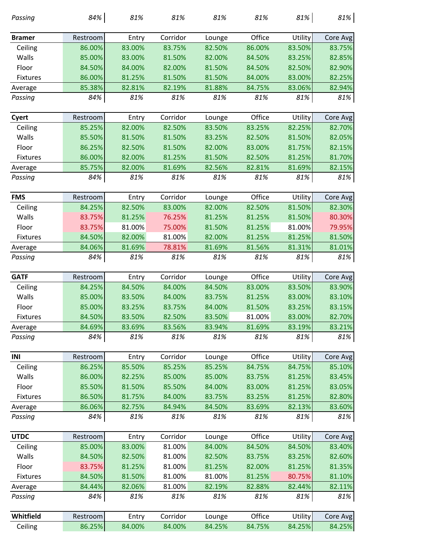| Office<br>Corridor<br>Utility<br>Restroom<br>Entry<br>Core Avg<br><b>Bramer</b><br>Lounge<br>83.00%<br>83.75%<br>82.50%<br>86.00%<br>83.50%<br>83.75%<br>Ceiling<br>86.00%<br>85.00%<br>Walls<br>83.00%<br>81.50%<br>83.25%<br>82.85%<br>82.00%<br>84.50%<br>Floor<br>84.50%<br>84.00%<br>82.00%<br>81.50%<br>82.50%<br>82.90%<br>84.50%<br>86.00%<br>81.25%<br>81.50%<br>81.50%<br>84.00%<br>83.00%<br>82.25%<br>Fixtures<br>85.38%<br>82.81%<br>82.19%<br>81.88%<br>84.75%<br>83.06%<br>82.94%<br>Average<br>84%<br>81%<br>81%<br>81%<br>81%<br>81%<br>81%<br>Passing<br>Office<br>Corridor<br>Utility<br>Restroom<br>Entry<br>Core Avg<br>Cyert<br>Lounge<br>85.25%<br>82.00%<br>82.50%<br>83.50%<br>83.25%<br>82.25%<br>82.70%<br>Ceiling<br>Walls<br>85.50%<br>81.50%<br>81.50%<br>82.05%<br>81.50%<br>83.25%<br>82.50%<br>Floor<br>86.25%<br>81.50%<br>82.00%<br>83.00%<br>81.75%<br>82.15%<br>82.50%<br><b>Fixtures</b><br>86.00%<br>82.00%<br>81.25%<br>81.50%<br>81.25%<br>81.70%<br>82.50%<br>82.00%<br>81.69%<br>82.15%<br>85.75%<br>81.69%<br>82.56%<br>82.81%<br>Average<br>84%<br>81%<br>81%<br>81%<br>81%<br>81%<br>81%<br>Passing<br>Office<br><b>FMS</b><br>Corridor<br>Utility<br>Core Avg<br>Restroom<br>Entry<br>Lounge<br>81.50%<br>Ceiling<br>84.25%<br>82.50%<br>83.00%<br>82.00%<br>82.50%<br>82.30%<br>Walls<br>83.75%<br>81.50%<br>80.30%<br>81.25%<br>76.25%<br>81.25%<br>81.25%<br>Floor<br>83.75%<br>81.00%<br>75.00%<br>81.50%<br>81.25%<br>81.00%<br>79.95%<br>81.25%<br>84.50%<br>82.00%<br>81.00%<br>82.00%<br>81.25%<br>81.50%<br><b>Fixtures</b><br>84.06%<br>81.69%<br>78.81%<br>81.69%<br>81.56%<br>81.31%<br>81.01%<br>Average<br>81%<br>84%<br>81%<br>81%<br>81%<br>81%<br>81%<br>Passing<br>Office<br>Corridor<br><b>GATF</b><br>Utility<br>Restroom<br>Entry<br>Core Avg<br>Lounge<br>83.50%<br>84.25%<br>84.50%<br>84.50%<br>83.00%<br>83.90%<br>Ceiling<br>84.00%<br>Walls<br>85.00%<br>83.00%<br>83.10%<br>83.50%<br>84.00%<br>83.75%<br>81.25%<br>Floor<br>85.00%<br>83.25%<br>83.15%<br>83.25%<br>83.75%<br>84.00%<br>81.50%<br>84.50%<br>83.50%<br>83.00%<br>82.70%<br>83.50%<br>82.50%<br>81.00%<br><b>Fixtures</b><br>84.69%<br>83.69%<br>83.56%<br>83.94%<br>81.69%<br>83.19%<br>83.21%<br>Average<br>81%<br>81%<br>84%<br>81%<br>81%<br>81%<br>81%<br>Passing<br>Office<br>INI<br>Corridor<br>Utility<br>Restroom<br>Entry<br>Lounge<br>Core Avg<br>Ceiling<br>86.25%<br>85.50%<br>85.25%<br>85.25%<br>84.75%<br>84.75%<br>85.10%<br>Walls<br>86.00%<br>81.25%<br>83.45%<br>82.25%<br>85.00%<br>85.00%<br>83.75%<br>Floor<br>85.50%<br>81.50%<br>85.50%<br>84.00%<br>83.00%<br>81.25%<br>83.05%<br>86.50%<br>81.75%<br>84.00%<br>83.75%<br>83.25%<br>81.25%<br>82.80%<br>Fixtures<br>86.06%<br>82.75%<br>84.94%<br>84.50%<br>83.69%<br>82.13%<br>83.60%<br>Average<br>84%<br>81%<br>81%<br>81%<br>Passing<br>81%<br>81%<br>81%<br>Office<br><b>UTDC</b><br>Corridor<br>Restroom<br>Utility<br>Core Avg<br>Entry<br>Lounge<br>83.00%<br>81.00%<br>84.00%<br>84.50%<br>84.50%<br>83.40%<br>Ceiling<br>85.00%<br>Walls<br>81.00%<br>83.25%<br>82.60%<br>84.50%<br>82.50%<br>82.50%<br>83.75%<br>Floor<br>83.75%<br>81.25%<br>81.00%<br>81.25%<br>81.35%<br>81.25%<br>82.00%<br>84.50%<br>81.00%<br>81.00%<br>80.75%<br>Fixtures<br>81.50%<br>81.25%<br>81.10%<br>82.06%<br>81.00%<br>82.19%<br>84.44%<br>82.88%<br>82.44%<br>82.11%<br>Average<br>84%<br>81%<br>81%<br>81%<br>81%<br>81%<br>81%<br>Passing<br>Office<br>Whitfield<br>Corridor<br>Utility<br>Entry<br>Restroom<br>Lounge<br>Core Avg<br>Ceiling<br>86.25%<br>84.00%<br>84.25%<br>84.25%<br>84.00%<br>84.25%<br>84.75% | Passing | 84% | 81% | 81% | 81% | 81% | 81% | 81% |
|--------------------------------------------------------------------------------------------------------------------------------------------------------------------------------------------------------------------------------------------------------------------------------------------------------------------------------------------------------------------------------------------------------------------------------------------------------------------------------------------------------------------------------------------------------------------------------------------------------------------------------------------------------------------------------------------------------------------------------------------------------------------------------------------------------------------------------------------------------------------------------------------------------------------------------------------------------------------------------------------------------------------------------------------------------------------------------------------------------------------------------------------------------------------------------------------------------------------------------------------------------------------------------------------------------------------------------------------------------------------------------------------------------------------------------------------------------------------------------------------------------------------------------------------------------------------------------------------------------------------------------------------------------------------------------------------------------------------------------------------------------------------------------------------------------------------------------------------------------------------------------------------------------------------------------------------------------------------------------------------------------------------------------------------------------------------------------------------------------------------------------------------------------------------------------------------------------------------------------------------------------------------------------------------------------------------------------------------------------------------------------------------------------------------------------------------------------------------------------------------------------------------------------------------------------------------------------------------------------------------------------------------------------------------------------------------------------------------------------------------------------------------------------------------------------------------------------------------------------------------------------------------------------------------------------------------------------------------------------------------------------------------------------------------------------------------------------------------------------------------------------------------------------------------------------------------------------------------------------------------------------------------------------------------------------------------------------------------------------------------------------------------------------------------------------------------------------------------------------------------------------------------------------------------------------------------------------------------------------------------------------------|---------|-----|-----|-----|-----|-----|-----|-----|
|                                                                                                                                                                                                                                                                                                                                                                                                                                                                                                                                                                                                                                                                                                                                                                                                                                                                                                                                                                                                                                                                                                                                                                                                                                                                                                                                                                                                                                                                                                                                                                                                                                                                                                                                                                                                                                                                                                                                                                                                                                                                                                                                                                                                                                                                                                                                                                                                                                                                                                                                                                                                                                                                                                                                                                                                                                                                                                                                                                                                                                                                                                                                                                                                                                                                                                                                                                                                                                                                                                                                                                                                                                      |         |     |     |     |     |     |     |     |
|                                                                                                                                                                                                                                                                                                                                                                                                                                                                                                                                                                                                                                                                                                                                                                                                                                                                                                                                                                                                                                                                                                                                                                                                                                                                                                                                                                                                                                                                                                                                                                                                                                                                                                                                                                                                                                                                                                                                                                                                                                                                                                                                                                                                                                                                                                                                                                                                                                                                                                                                                                                                                                                                                                                                                                                                                                                                                                                                                                                                                                                                                                                                                                                                                                                                                                                                                                                                                                                                                                                                                                                                                                      |         |     |     |     |     |     |     |     |
|                                                                                                                                                                                                                                                                                                                                                                                                                                                                                                                                                                                                                                                                                                                                                                                                                                                                                                                                                                                                                                                                                                                                                                                                                                                                                                                                                                                                                                                                                                                                                                                                                                                                                                                                                                                                                                                                                                                                                                                                                                                                                                                                                                                                                                                                                                                                                                                                                                                                                                                                                                                                                                                                                                                                                                                                                                                                                                                                                                                                                                                                                                                                                                                                                                                                                                                                                                                                                                                                                                                                                                                                                                      |         |     |     |     |     |     |     |     |
|                                                                                                                                                                                                                                                                                                                                                                                                                                                                                                                                                                                                                                                                                                                                                                                                                                                                                                                                                                                                                                                                                                                                                                                                                                                                                                                                                                                                                                                                                                                                                                                                                                                                                                                                                                                                                                                                                                                                                                                                                                                                                                                                                                                                                                                                                                                                                                                                                                                                                                                                                                                                                                                                                                                                                                                                                                                                                                                                                                                                                                                                                                                                                                                                                                                                                                                                                                                                                                                                                                                                                                                                                                      |         |     |     |     |     |     |     |     |
|                                                                                                                                                                                                                                                                                                                                                                                                                                                                                                                                                                                                                                                                                                                                                                                                                                                                                                                                                                                                                                                                                                                                                                                                                                                                                                                                                                                                                                                                                                                                                                                                                                                                                                                                                                                                                                                                                                                                                                                                                                                                                                                                                                                                                                                                                                                                                                                                                                                                                                                                                                                                                                                                                                                                                                                                                                                                                                                                                                                                                                                                                                                                                                                                                                                                                                                                                                                                                                                                                                                                                                                                                                      |         |     |     |     |     |     |     |     |
|                                                                                                                                                                                                                                                                                                                                                                                                                                                                                                                                                                                                                                                                                                                                                                                                                                                                                                                                                                                                                                                                                                                                                                                                                                                                                                                                                                                                                                                                                                                                                                                                                                                                                                                                                                                                                                                                                                                                                                                                                                                                                                                                                                                                                                                                                                                                                                                                                                                                                                                                                                                                                                                                                                                                                                                                                                                                                                                                                                                                                                                                                                                                                                                                                                                                                                                                                                                                                                                                                                                                                                                                                                      |         |     |     |     |     |     |     |     |
|                                                                                                                                                                                                                                                                                                                                                                                                                                                                                                                                                                                                                                                                                                                                                                                                                                                                                                                                                                                                                                                                                                                                                                                                                                                                                                                                                                                                                                                                                                                                                                                                                                                                                                                                                                                                                                                                                                                                                                                                                                                                                                                                                                                                                                                                                                                                                                                                                                                                                                                                                                                                                                                                                                                                                                                                                                                                                                                                                                                                                                                                                                                                                                                                                                                                                                                                                                                                                                                                                                                                                                                                                                      |         |     |     |     |     |     |     |     |
|                                                                                                                                                                                                                                                                                                                                                                                                                                                                                                                                                                                                                                                                                                                                                                                                                                                                                                                                                                                                                                                                                                                                                                                                                                                                                                                                                                                                                                                                                                                                                                                                                                                                                                                                                                                                                                                                                                                                                                                                                                                                                                                                                                                                                                                                                                                                                                                                                                                                                                                                                                                                                                                                                                                                                                                                                                                                                                                                                                                                                                                                                                                                                                                                                                                                                                                                                                                                                                                                                                                                                                                                                                      |         |     |     |     |     |     |     |     |
|                                                                                                                                                                                                                                                                                                                                                                                                                                                                                                                                                                                                                                                                                                                                                                                                                                                                                                                                                                                                                                                                                                                                                                                                                                                                                                                                                                                                                                                                                                                                                                                                                                                                                                                                                                                                                                                                                                                                                                                                                                                                                                                                                                                                                                                                                                                                                                                                                                                                                                                                                                                                                                                                                                                                                                                                                                                                                                                                                                                                                                                                                                                                                                                                                                                                                                                                                                                                                                                                                                                                                                                                                                      |         |     |     |     |     |     |     |     |
|                                                                                                                                                                                                                                                                                                                                                                                                                                                                                                                                                                                                                                                                                                                                                                                                                                                                                                                                                                                                                                                                                                                                                                                                                                                                                                                                                                                                                                                                                                                                                                                                                                                                                                                                                                                                                                                                                                                                                                                                                                                                                                                                                                                                                                                                                                                                                                                                                                                                                                                                                                                                                                                                                                                                                                                                                                                                                                                                                                                                                                                                                                                                                                                                                                                                                                                                                                                                                                                                                                                                                                                                                                      |         |     |     |     |     |     |     |     |
|                                                                                                                                                                                                                                                                                                                                                                                                                                                                                                                                                                                                                                                                                                                                                                                                                                                                                                                                                                                                                                                                                                                                                                                                                                                                                                                                                                                                                                                                                                                                                                                                                                                                                                                                                                                                                                                                                                                                                                                                                                                                                                                                                                                                                                                                                                                                                                                                                                                                                                                                                                                                                                                                                                                                                                                                                                                                                                                                                                                                                                                                                                                                                                                                                                                                                                                                                                                                                                                                                                                                                                                                                                      |         |     |     |     |     |     |     |     |
|                                                                                                                                                                                                                                                                                                                                                                                                                                                                                                                                                                                                                                                                                                                                                                                                                                                                                                                                                                                                                                                                                                                                                                                                                                                                                                                                                                                                                                                                                                                                                                                                                                                                                                                                                                                                                                                                                                                                                                                                                                                                                                                                                                                                                                                                                                                                                                                                                                                                                                                                                                                                                                                                                                                                                                                                                                                                                                                                                                                                                                                                                                                                                                                                                                                                                                                                                                                                                                                                                                                                                                                                                                      |         |     |     |     |     |     |     |     |
|                                                                                                                                                                                                                                                                                                                                                                                                                                                                                                                                                                                                                                                                                                                                                                                                                                                                                                                                                                                                                                                                                                                                                                                                                                                                                                                                                                                                                                                                                                                                                                                                                                                                                                                                                                                                                                                                                                                                                                                                                                                                                                                                                                                                                                                                                                                                                                                                                                                                                                                                                                                                                                                                                                                                                                                                                                                                                                                                                                                                                                                                                                                                                                                                                                                                                                                                                                                                                                                                                                                                                                                                                                      |         |     |     |     |     |     |     |     |
|                                                                                                                                                                                                                                                                                                                                                                                                                                                                                                                                                                                                                                                                                                                                                                                                                                                                                                                                                                                                                                                                                                                                                                                                                                                                                                                                                                                                                                                                                                                                                                                                                                                                                                                                                                                                                                                                                                                                                                                                                                                                                                                                                                                                                                                                                                                                                                                                                                                                                                                                                                                                                                                                                                                                                                                                                                                                                                                                                                                                                                                                                                                                                                                                                                                                                                                                                                                                                                                                                                                                                                                                                                      |         |     |     |     |     |     |     |     |
|                                                                                                                                                                                                                                                                                                                                                                                                                                                                                                                                                                                                                                                                                                                                                                                                                                                                                                                                                                                                                                                                                                                                                                                                                                                                                                                                                                                                                                                                                                                                                                                                                                                                                                                                                                                                                                                                                                                                                                                                                                                                                                                                                                                                                                                                                                                                                                                                                                                                                                                                                                                                                                                                                                                                                                                                                                                                                                                                                                                                                                                                                                                                                                                                                                                                                                                                                                                                                                                                                                                                                                                                                                      |         |     |     |     |     |     |     |     |
|                                                                                                                                                                                                                                                                                                                                                                                                                                                                                                                                                                                                                                                                                                                                                                                                                                                                                                                                                                                                                                                                                                                                                                                                                                                                                                                                                                                                                                                                                                                                                                                                                                                                                                                                                                                                                                                                                                                                                                                                                                                                                                                                                                                                                                                                                                                                                                                                                                                                                                                                                                                                                                                                                                                                                                                                                                                                                                                                                                                                                                                                                                                                                                                                                                                                                                                                                                                                                                                                                                                                                                                                                                      |         |     |     |     |     |     |     |     |
|                                                                                                                                                                                                                                                                                                                                                                                                                                                                                                                                                                                                                                                                                                                                                                                                                                                                                                                                                                                                                                                                                                                                                                                                                                                                                                                                                                                                                                                                                                                                                                                                                                                                                                                                                                                                                                                                                                                                                                                                                                                                                                                                                                                                                                                                                                                                                                                                                                                                                                                                                                                                                                                                                                                                                                                                                                                                                                                                                                                                                                                                                                                                                                                                                                                                                                                                                                                                                                                                                                                                                                                                                                      |         |     |     |     |     |     |     |     |
|                                                                                                                                                                                                                                                                                                                                                                                                                                                                                                                                                                                                                                                                                                                                                                                                                                                                                                                                                                                                                                                                                                                                                                                                                                                                                                                                                                                                                                                                                                                                                                                                                                                                                                                                                                                                                                                                                                                                                                                                                                                                                                                                                                                                                                                                                                                                                                                                                                                                                                                                                                                                                                                                                                                                                                                                                                                                                                                                                                                                                                                                                                                                                                                                                                                                                                                                                                                                                                                                                                                                                                                                                                      |         |     |     |     |     |     |     |     |
|                                                                                                                                                                                                                                                                                                                                                                                                                                                                                                                                                                                                                                                                                                                                                                                                                                                                                                                                                                                                                                                                                                                                                                                                                                                                                                                                                                                                                                                                                                                                                                                                                                                                                                                                                                                                                                                                                                                                                                                                                                                                                                                                                                                                                                                                                                                                                                                                                                                                                                                                                                                                                                                                                                                                                                                                                                                                                                                                                                                                                                                                                                                                                                                                                                                                                                                                                                                                                                                                                                                                                                                                                                      |         |     |     |     |     |     |     |     |
|                                                                                                                                                                                                                                                                                                                                                                                                                                                                                                                                                                                                                                                                                                                                                                                                                                                                                                                                                                                                                                                                                                                                                                                                                                                                                                                                                                                                                                                                                                                                                                                                                                                                                                                                                                                                                                                                                                                                                                                                                                                                                                                                                                                                                                                                                                                                                                                                                                                                                                                                                                                                                                                                                                                                                                                                                                                                                                                                                                                                                                                                                                                                                                                                                                                                                                                                                                                                                                                                                                                                                                                                                                      |         |     |     |     |     |     |     |     |
|                                                                                                                                                                                                                                                                                                                                                                                                                                                                                                                                                                                                                                                                                                                                                                                                                                                                                                                                                                                                                                                                                                                                                                                                                                                                                                                                                                                                                                                                                                                                                                                                                                                                                                                                                                                                                                                                                                                                                                                                                                                                                                                                                                                                                                                                                                                                                                                                                                                                                                                                                                                                                                                                                                                                                                                                                                                                                                                                                                                                                                                                                                                                                                                                                                                                                                                                                                                                                                                                                                                                                                                                                                      |         |     |     |     |     |     |     |     |
|                                                                                                                                                                                                                                                                                                                                                                                                                                                                                                                                                                                                                                                                                                                                                                                                                                                                                                                                                                                                                                                                                                                                                                                                                                                                                                                                                                                                                                                                                                                                                                                                                                                                                                                                                                                                                                                                                                                                                                                                                                                                                                                                                                                                                                                                                                                                                                                                                                                                                                                                                                                                                                                                                                                                                                                                                                                                                                                                                                                                                                                                                                                                                                                                                                                                                                                                                                                                                                                                                                                                                                                                                                      |         |     |     |     |     |     |     |     |
|                                                                                                                                                                                                                                                                                                                                                                                                                                                                                                                                                                                                                                                                                                                                                                                                                                                                                                                                                                                                                                                                                                                                                                                                                                                                                                                                                                                                                                                                                                                                                                                                                                                                                                                                                                                                                                                                                                                                                                                                                                                                                                                                                                                                                                                                                                                                                                                                                                                                                                                                                                                                                                                                                                                                                                                                                                                                                                                                                                                                                                                                                                                                                                                                                                                                                                                                                                                                                                                                                                                                                                                                                                      |         |     |     |     |     |     |     |     |
|                                                                                                                                                                                                                                                                                                                                                                                                                                                                                                                                                                                                                                                                                                                                                                                                                                                                                                                                                                                                                                                                                                                                                                                                                                                                                                                                                                                                                                                                                                                                                                                                                                                                                                                                                                                                                                                                                                                                                                                                                                                                                                                                                                                                                                                                                                                                                                                                                                                                                                                                                                                                                                                                                                                                                                                                                                                                                                                                                                                                                                                                                                                                                                                                                                                                                                                                                                                                                                                                                                                                                                                                                                      |         |     |     |     |     |     |     |     |
|                                                                                                                                                                                                                                                                                                                                                                                                                                                                                                                                                                                                                                                                                                                                                                                                                                                                                                                                                                                                                                                                                                                                                                                                                                                                                                                                                                                                                                                                                                                                                                                                                                                                                                                                                                                                                                                                                                                                                                                                                                                                                                                                                                                                                                                                                                                                                                                                                                                                                                                                                                                                                                                                                                                                                                                                                                                                                                                                                                                                                                                                                                                                                                                                                                                                                                                                                                                                                                                                                                                                                                                                                                      |         |     |     |     |     |     |     |     |
|                                                                                                                                                                                                                                                                                                                                                                                                                                                                                                                                                                                                                                                                                                                                                                                                                                                                                                                                                                                                                                                                                                                                                                                                                                                                                                                                                                                                                                                                                                                                                                                                                                                                                                                                                                                                                                                                                                                                                                                                                                                                                                                                                                                                                                                                                                                                                                                                                                                                                                                                                                                                                                                                                                                                                                                                                                                                                                                                                                                                                                                                                                                                                                                                                                                                                                                                                                                                                                                                                                                                                                                                                                      |         |     |     |     |     |     |     |     |
|                                                                                                                                                                                                                                                                                                                                                                                                                                                                                                                                                                                                                                                                                                                                                                                                                                                                                                                                                                                                                                                                                                                                                                                                                                                                                                                                                                                                                                                                                                                                                                                                                                                                                                                                                                                                                                                                                                                                                                                                                                                                                                                                                                                                                                                                                                                                                                                                                                                                                                                                                                                                                                                                                                                                                                                                                                                                                                                                                                                                                                                                                                                                                                                                                                                                                                                                                                                                                                                                                                                                                                                                                                      |         |     |     |     |     |     |     |     |
|                                                                                                                                                                                                                                                                                                                                                                                                                                                                                                                                                                                                                                                                                                                                                                                                                                                                                                                                                                                                                                                                                                                                                                                                                                                                                                                                                                                                                                                                                                                                                                                                                                                                                                                                                                                                                                                                                                                                                                                                                                                                                                                                                                                                                                                                                                                                                                                                                                                                                                                                                                                                                                                                                                                                                                                                                                                                                                                                                                                                                                                                                                                                                                                                                                                                                                                                                                                                                                                                                                                                                                                                                                      |         |     |     |     |     |     |     |     |
|                                                                                                                                                                                                                                                                                                                                                                                                                                                                                                                                                                                                                                                                                                                                                                                                                                                                                                                                                                                                                                                                                                                                                                                                                                                                                                                                                                                                                                                                                                                                                                                                                                                                                                                                                                                                                                                                                                                                                                                                                                                                                                                                                                                                                                                                                                                                                                                                                                                                                                                                                                                                                                                                                                                                                                                                                                                                                                                                                                                                                                                                                                                                                                                                                                                                                                                                                                                                                                                                                                                                                                                                                                      |         |     |     |     |     |     |     |     |
|                                                                                                                                                                                                                                                                                                                                                                                                                                                                                                                                                                                                                                                                                                                                                                                                                                                                                                                                                                                                                                                                                                                                                                                                                                                                                                                                                                                                                                                                                                                                                                                                                                                                                                                                                                                                                                                                                                                                                                                                                                                                                                                                                                                                                                                                                                                                                                                                                                                                                                                                                                                                                                                                                                                                                                                                                                                                                                                                                                                                                                                                                                                                                                                                                                                                                                                                                                                                                                                                                                                                                                                                                                      |         |     |     |     |     |     |     |     |
|                                                                                                                                                                                                                                                                                                                                                                                                                                                                                                                                                                                                                                                                                                                                                                                                                                                                                                                                                                                                                                                                                                                                                                                                                                                                                                                                                                                                                                                                                                                                                                                                                                                                                                                                                                                                                                                                                                                                                                                                                                                                                                                                                                                                                                                                                                                                                                                                                                                                                                                                                                                                                                                                                                                                                                                                                                                                                                                                                                                                                                                                                                                                                                                                                                                                                                                                                                                                                                                                                                                                                                                                                                      |         |     |     |     |     |     |     |     |
|                                                                                                                                                                                                                                                                                                                                                                                                                                                                                                                                                                                                                                                                                                                                                                                                                                                                                                                                                                                                                                                                                                                                                                                                                                                                                                                                                                                                                                                                                                                                                                                                                                                                                                                                                                                                                                                                                                                                                                                                                                                                                                                                                                                                                                                                                                                                                                                                                                                                                                                                                                                                                                                                                                                                                                                                                                                                                                                                                                                                                                                                                                                                                                                                                                                                                                                                                                                                                                                                                                                                                                                                                                      |         |     |     |     |     |     |     |     |
|                                                                                                                                                                                                                                                                                                                                                                                                                                                                                                                                                                                                                                                                                                                                                                                                                                                                                                                                                                                                                                                                                                                                                                                                                                                                                                                                                                                                                                                                                                                                                                                                                                                                                                                                                                                                                                                                                                                                                                                                                                                                                                                                                                                                                                                                                                                                                                                                                                                                                                                                                                                                                                                                                                                                                                                                                                                                                                                                                                                                                                                                                                                                                                                                                                                                                                                                                                                                                                                                                                                                                                                                                                      |         |     |     |     |     |     |     |     |
|                                                                                                                                                                                                                                                                                                                                                                                                                                                                                                                                                                                                                                                                                                                                                                                                                                                                                                                                                                                                                                                                                                                                                                                                                                                                                                                                                                                                                                                                                                                                                                                                                                                                                                                                                                                                                                                                                                                                                                                                                                                                                                                                                                                                                                                                                                                                                                                                                                                                                                                                                                                                                                                                                                                                                                                                                                                                                                                                                                                                                                                                                                                                                                                                                                                                                                                                                                                                                                                                                                                                                                                                                                      |         |     |     |     |     |     |     |     |
|                                                                                                                                                                                                                                                                                                                                                                                                                                                                                                                                                                                                                                                                                                                                                                                                                                                                                                                                                                                                                                                                                                                                                                                                                                                                                                                                                                                                                                                                                                                                                                                                                                                                                                                                                                                                                                                                                                                                                                                                                                                                                                                                                                                                                                                                                                                                                                                                                                                                                                                                                                                                                                                                                                                                                                                                                                                                                                                                                                                                                                                                                                                                                                                                                                                                                                                                                                                                                                                                                                                                                                                                                                      |         |     |     |     |     |     |     |     |
|                                                                                                                                                                                                                                                                                                                                                                                                                                                                                                                                                                                                                                                                                                                                                                                                                                                                                                                                                                                                                                                                                                                                                                                                                                                                                                                                                                                                                                                                                                                                                                                                                                                                                                                                                                                                                                                                                                                                                                                                                                                                                                                                                                                                                                                                                                                                                                                                                                                                                                                                                                                                                                                                                                                                                                                                                                                                                                                                                                                                                                                                                                                                                                                                                                                                                                                                                                                                                                                                                                                                                                                                                                      |         |     |     |     |     |     |     |     |
|                                                                                                                                                                                                                                                                                                                                                                                                                                                                                                                                                                                                                                                                                                                                                                                                                                                                                                                                                                                                                                                                                                                                                                                                                                                                                                                                                                                                                                                                                                                                                                                                                                                                                                                                                                                                                                                                                                                                                                                                                                                                                                                                                                                                                                                                                                                                                                                                                                                                                                                                                                                                                                                                                                                                                                                                                                                                                                                                                                                                                                                                                                                                                                                                                                                                                                                                                                                                                                                                                                                                                                                                                                      |         |     |     |     |     |     |     |     |
|                                                                                                                                                                                                                                                                                                                                                                                                                                                                                                                                                                                                                                                                                                                                                                                                                                                                                                                                                                                                                                                                                                                                                                                                                                                                                                                                                                                                                                                                                                                                                                                                                                                                                                                                                                                                                                                                                                                                                                                                                                                                                                                                                                                                                                                                                                                                                                                                                                                                                                                                                                                                                                                                                                                                                                                                                                                                                                                                                                                                                                                                                                                                                                                                                                                                                                                                                                                                                                                                                                                                                                                                                                      |         |     |     |     |     |     |     |     |
|                                                                                                                                                                                                                                                                                                                                                                                                                                                                                                                                                                                                                                                                                                                                                                                                                                                                                                                                                                                                                                                                                                                                                                                                                                                                                                                                                                                                                                                                                                                                                                                                                                                                                                                                                                                                                                                                                                                                                                                                                                                                                                                                                                                                                                                                                                                                                                                                                                                                                                                                                                                                                                                                                                                                                                                                                                                                                                                                                                                                                                                                                                                                                                                                                                                                                                                                                                                                                                                                                                                                                                                                                                      |         |     |     |     |     |     |     |     |
|                                                                                                                                                                                                                                                                                                                                                                                                                                                                                                                                                                                                                                                                                                                                                                                                                                                                                                                                                                                                                                                                                                                                                                                                                                                                                                                                                                                                                                                                                                                                                                                                                                                                                                                                                                                                                                                                                                                                                                                                                                                                                                                                                                                                                                                                                                                                                                                                                                                                                                                                                                                                                                                                                                                                                                                                                                                                                                                                                                                                                                                                                                                                                                                                                                                                                                                                                                                                                                                                                                                                                                                                                                      |         |     |     |     |     |     |     |     |
|                                                                                                                                                                                                                                                                                                                                                                                                                                                                                                                                                                                                                                                                                                                                                                                                                                                                                                                                                                                                                                                                                                                                                                                                                                                                                                                                                                                                                                                                                                                                                                                                                                                                                                                                                                                                                                                                                                                                                                                                                                                                                                                                                                                                                                                                                                                                                                                                                                                                                                                                                                                                                                                                                                                                                                                                                                                                                                                                                                                                                                                                                                                                                                                                                                                                                                                                                                                                                                                                                                                                                                                                                                      |         |     |     |     |     |     |     |     |
|                                                                                                                                                                                                                                                                                                                                                                                                                                                                                                                                                                                                                                                                                                                                                                                                                                                                                                                                                                                                                                                                                                                                                                                                                                                                                                                                                                                                                                                                                                                                                                                                                                                                                                                                                                                                                                                                                                                                                                                                                                                                                                                                                                                                                                                                                                                                                                                                                                                                                                                                                                                                                                                                                                                                                                                                                                                                                                                                                                                                                                                                                                                                                                                                                                                                                                                                                                                                                                                                                                                                                                                                                                      |         |     |     |     |     |     |     |     |
|                                                                                                                                                                                                                                                                                                                                                                                                                                                                                                                                                                                                                                                                                                                                                                                                                                                                                                                                                                                                                                                                                                                                                                                                                                                                                                                                                                                                                                                                                                                                                                                                                                                                                                                                                                                                                                                                                                                                                                                                                                                                                                                                                                                                                                                                                                                                                                                                                                                                                                                                                                                                                                                                                                                                                                                                                                                                                                                                                                                                                                                                                                                                                                                                                                                                                                                                                                                                                                                                                                                                                                                                                                      |         |     |     |     |     |     |     |     |
|                                                                                                                                                                                                                                                                                                                                                                                                                                                                                                                                                                                                                                                                                                                                                                                                                                                                                                                                                                                                                                                                                                                                                                                                                                                                                                                                                                                                                                                                                                                                                                                                                                                                                                                                                                                                                                                                                                                                                                                                                                                                                                                                                                                                                                                                                                                                                                                                                                                                                                                                                                                                                                                                                                                                                                                                                                                                                                                                                                                                                                                                                                                                                                                                                                                                                                                                                                                                                                                                                                                                                                                                                                      |         |     |     |     |     |     |     |     |